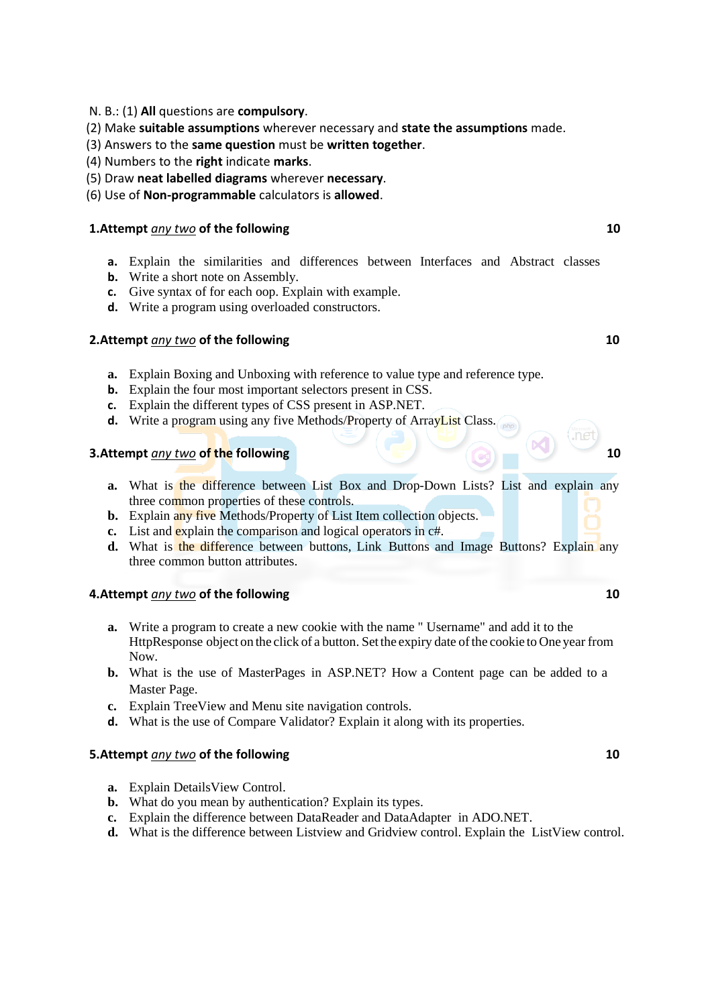- N. B.: (1) **All** questions are **compulsory**.
- (2) Make **suitable assumptions** wherever necessary and **state the assumptions** made.
- (3) Answers to the **same question** must be **written together**.
- (4) Numbers to the **right** indicate **marks**.
- (5) Draw **neat labelled diagrams** wherever **necessary**.
- (6) Use of **Non-programmable** calculators is **allowed**.

# **1.Attempt** *any two* of the following 10

- **a.** Explain the similarities and differences between Interfaces and Abstract classes
- **b.** Write a short note on Assembly.
- **c.** Give syntax of for each oop. Explain with example.
- **d.** Write a program using overloaded constructors.

# **2.Attempt** *any two* of the following 10

- **a.** Explain Boxing and Unboxing with reference to value type and reference type.
- **b.** Explain the four most important selectors present in CSS.
- **c.** Explain the different types of CSS present in ASP.NET.
- **d.** Write a program using any five Methods/Property of ArrayList Class.

# **3.Attempt** *any two* **of the following 10**

- **a.** What is the difference between List Box and Drop-Down Lists? List and explain any three common properties of these controls.
- **b.** Explain any five Methods/Property of List Item collection objects.
- **c.** List and explain the comparison and logical operators in c#.
- **d.** What is the difference between buttons, Link Buttons and Image Buttons? Explain any three common button attributes.

## **4.Attempt** *any two* **of the following 10**

- **a.** Write a program to create a new cookie with the name " Username" and add it to the HttpResponse object on the click of a button. Set the expiry date ofthe cookie to One year from Now.
- **b.** What is the use of MasterPages in ASP.NET? How a Content page can be added to a Master Page.
- **c.** Explain TreeView and Menu site navigation controls.
- **d.** What is the use of Compare Validator? Explain it along with its properties.

## **5.Attempt** *any two* of the following 10

- **a.** Explain DetailsView Control.
- **b.** What do you mean by authentication? Explain its types.
- **c.** Explain the difference between DataReader and DataAdapter in ADO.NET.
- **d.** What is the difference between Listview and Gridview control. Explain the ListView control.

 $n<sub>e</sub>$